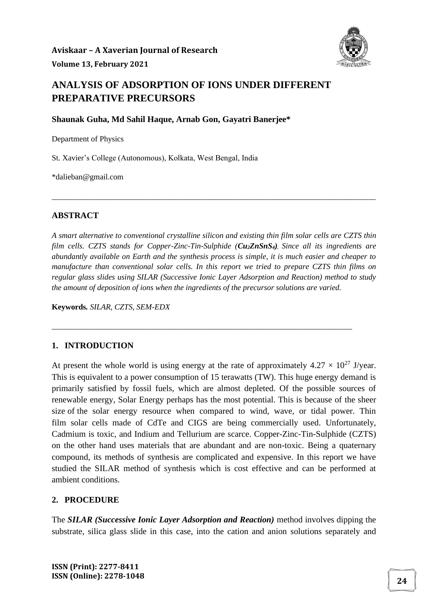

# **ANALYSIS OF ADSORPTION OF IONS UNDER DIFFERENT PREPARATIVE PRECURSORS**

**Shaunak Guha, Md Sahil Haque, Arnab Gon, Gayatri Banerjee\***

Department of Physics

St. Xavier's College (Autonomous), Kolkata, West Bengal, India

\*dalieban@gmail.com

### **ABSTRACT**

*A smart alternative to conventional crystalline silicon and existing thin film solar cells are CZTS thin film cells. CZTS stands for Copper-Zinc-Tin-Sulphide (Cu2ZnSnS4). Since all its ingredients are abundantly available on Earth and the synthesis process is simple, it is much easier and cheaper to manufacture than conventional solar cells. In this report we tried to prepare CZTS thin films on regular glass slides using SILAR (Successive Ionic Layer Adsorption and Reaction) method to study the amount of deposition of ions when the ingredients of the precursor solutions are varied.*

\_\_\_\_\_\_\_\_\_\_\_\_\_\_\_\_\_\_\_\_\_\_\_\_\_\_\_\_\_\_\_\_\_\_\_\_\_\_\_\_\_\_\_\_\_\_\_\_\_\_\_\_\_\_\_\_\_\_\_\_\_\_\_\_\_\_\_\_\_\_\_\_\_\_\_\_

\_\_\_\_\_\_\_\_\_\_\_\_\_\_\_\_\_\_\_\_\_\_\_\_\_\_\_\_\_\_\_\_\_\_\_\_\_\_\_\_\_\_\_\_\_\_\_\_\_\_\_\_\_\_\_\_\_\_\_\_\_\_\_\_\_\_\_\_\_\_\_\_\_\_\_\_\_\_\_\_\_\_

**Keywords***. SILAR, CZTS, SEM-EDX*

### **1. INTRODUCTION**

At present the whole world is using energy at the rate of approximately  $4.27 \times 10^{27}$  J/year. This is equivalent to a power consumption of 15 terawatts (TW). This huge energy demand is primarily satisfied by fossil fuels, which are almost depleted. Of the possible sources of renewable energy, Solar Energy perhaps has the most potential. This is because of the sheer size of the solar energy resource when compared to wind, wave, or tidal power. Thin film solar cells made of CdTe and CIGS are being commercially used. Unfortunately, Cadmium is toxic, and Indium and Tellurium are scarce. Copper-Zinc-Tin-Sulphide (CZTS) on the other hand uses materials that are abundant and are non-toxic. Being a quaternary compound, its methods of synthesis are complicated and expensive. In this report we have studied the SILAR method of synthesis which is cost effective and can be performed at ambient conditions.

## **2. PROCEDURE**

The *SILAR (Successive Ionic Layer Adsorption and Reaction)* method involves dipping the substrate, silica glass slide in this case, into the cation and anion solutions separately and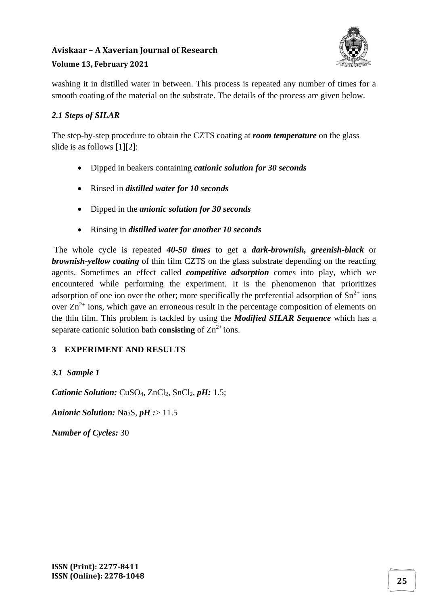# **Aviskaar – A Xaverian Journal of Research**



## **Volume 13, February 2021**

washing it in distilled water in between. This process is repeated any number of times for a smooth coating of the material on the substrate. The details of the process are given below.

## *2.1 Steps of SILAR*

The step-by-step procedure to obtain the CZTS coating at *room temperature* on the glass slide is as follows [1][2]:

- Dipped in beakers containing *cationic solution for 30 seconds*
- Rinsed in *distilled water for 10 seconds*
- Dipped in the *anionic solution for 30 seconds*
- Rinsing in *distilled water for another 10 seconds*

The whole cycle is repeated *40-50 times* to get a *dark-brownish, greenish-black* or *brownish-yellow coating* of thin film CZTS on the glass substrate depending on the reacting agents. Sometimes an effect called *competitive adsorption* comes into play, which we encountered while performing the experiment. It is the phenomenon that prioritizes adsorption of one ion over the other; more specifically the preferential adsorption of  $\text{Sn}^{2+}$  ions over  $\text{Zn}^{2+}$  ions, which gave an erroneous result in the percentage composition of elements on the thin film. This problem is tackled by using the *Modified SILAR Sequence* which has a separate cationic solution bath **consisting** of  $\text{Zn}^{2+}$  ions.

# **3 EXPERIMENT AND RESULTS**

# *3.1 Sample 1*

*Cationic Solution: CuSO<sub>4</sub>, ZnCl<sub>2</sub>, SnCl<sub>2</sub>, <i>pH*: 1.5;

*Anionic Solution:* Na<sub>2</sub>S, *pH* :> 11.5

*Number of Cycles:* 30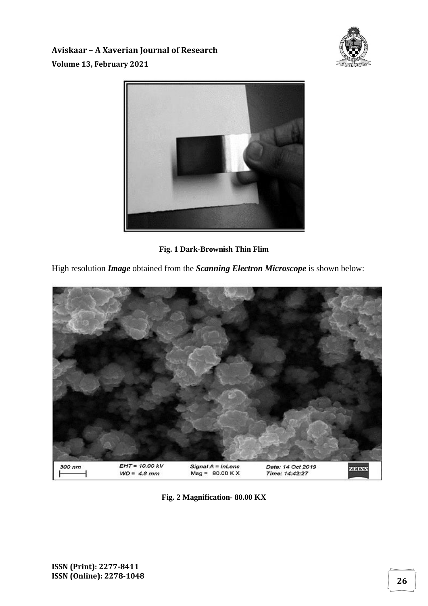



**Fig. 1 Dark-Brownish Thin Flim**

High resolution *Image* obtained from the *Scanning Electron Microscope* is shown below:



**Fig. 2 Magnification- 80.00 KX**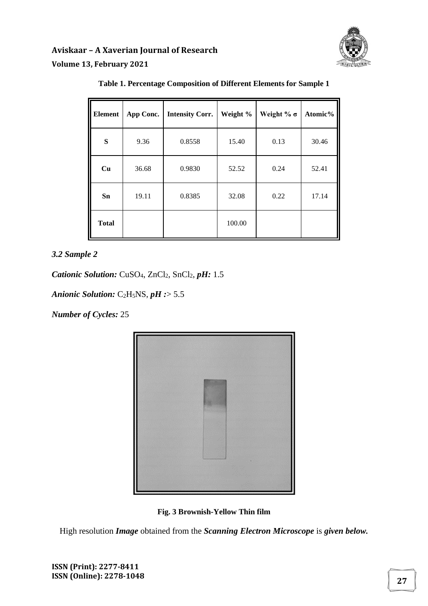

| <b>Element</b> | App Conc. | <b>Intensity Corr.</b> | Weight % | Weight % $\sigma$ | Atomic% |
|----------------|-----------|------------------------|----------|-------------------|---------|
| S              | 9.36      | 0.8558                 | 15.40    | 0.13              | 30.46   |
| Cu             | 36.68     | 0.9830                 | 52.52    | 0.24              | 52.41   |
| Sn             | 19.11     | 0.8385                 | 32.08    | 0.22              | 17.14   |
| <b>Total</b>   |           |                        | 100.00   |                   |         |

#### **Table 1. Percentage Composition of Different Elements for Sample 1**

### *3.2 Sample 2*

*Cationic Solution: CuSO<sub>4</sub>, ZnCl<sub>2</sub>, SnCl<sub>2</sub>, <i>pH*: 1.5

*Anionic Solution:* C2H5NS, *pH :*> 5.5

*Number of Cycles:* 25



**Fig. 3 Brownish-Yellow Thin film**

High resolution *Image* obtained from the *Scanning Electron Microscope* is *given below.*

**ISSN (Print): 2277-8411 ISSN (Online): 2278-1048 <sup>27</sup>**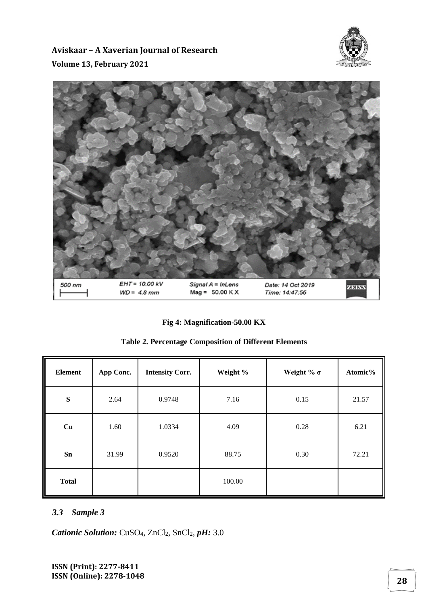



### **Fig 4: Magnification-50.00 KX**

|  |  | <b>Table 2. Percentage Composition of Different Elements</b> |
|--|--|--------------------------------------------------------------|
|--|--|--------------------------------------------------------------|

| <b>Element</b> | App Conc. | <b>Intensity Corr.</b> | Weight % | Weight % $\sigma$ | Atomic% |
|----------------|-----------|------------------------|----------|-------------------|---------|
| ${\bf S}$      | 2.64      | 0.9748                 | 7.16     | 0.15              | 21.57   |
| Cu             | 1.60      | 1.0334                 | 4.09     | 0.28              | 6.21    |
| Sn             | 31.99     | 0.9520                 | 88.75    | 0.30              | 72.21   |
| <b>Total</b>   |           |                        | 100.00   |                   |         |

### *3.3 Sample 3*

*Cationic Solution: CuSO<sub>4</sub>, ZnCl<sub>2</sub>, SnCl<sub>2</sub>, <i>pH*: 3.0

**ISSN (Print): 2277-8411 ISSN (Online): 2278-1048 <sup>28</sup>**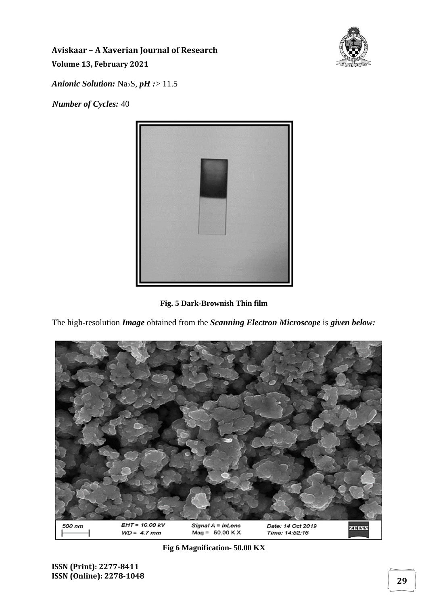

*Anionic Solution:* Na2S, *pH :*> 11.5

*Number of Cycles:* 40



**Fig. 5 Dark-Brownish Thin film**

The high-resolution *Image* obtained from the *Scanning Electron Microscope* is *given below:*



**Fig 6 Magnification- 50.00 KX**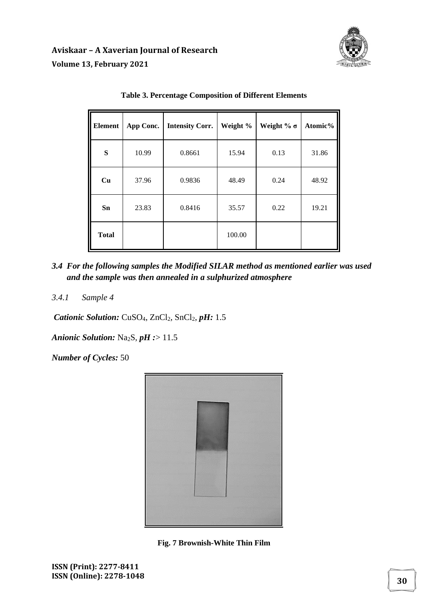

| <b>Element</b> | App Conc. | <b>Intensity Corr.</b> | Weight % | Weight % $\sigma$ | Atomic% |
|----------------|-----------|------------------------|----------|-------------------|---------|
| S              | 10.99     | 0.8661                 | 15.94    | 0.13              | 31.86   |
| Cu             | 37.96     | 0.9836                 | 48.49    | 0.24              | 48.92   |
| Sn             | 23.83     | 0.8416                 | 35.57    | 0.22              | 19.21   |
| <b>Total</b>   |           |                        | 100.00   |                   |         |

#### **Table 3. Percentage Composition of Different Elements**

- *3.4 For the following samples the Modified SILAR method as mentioned earlier was used and the sample was then annealed in a sulphurized atmosphere*
- *3.4.1 Sample 4*

*Cationic Solution: CuSO<sub>4</sub>, ZnCl<sub>2</sub>, SnCl<sub>2</sub>, <i>pH*: 1.5

*Anionic Solution:* Na2S, *pH :*> 11.5

*Number of Cycles:* 50



**Fig. 7 Brownish-White Thin Film**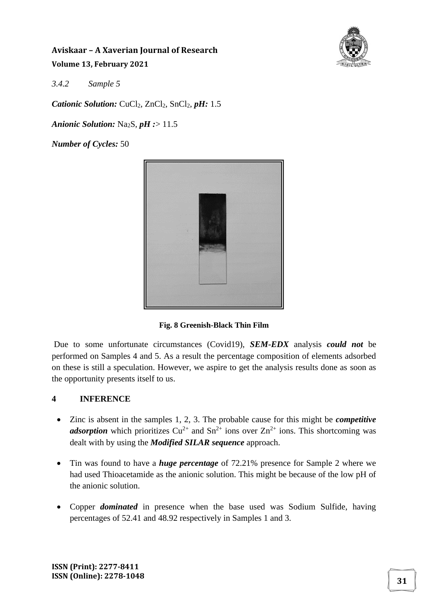

*3.4.2 Sample 5* 

*Cationic Solution: CuCl<sub>2</sub>, ZnCl<sub>2</sub>, SnCl<sub>2</sub>, <i>pH*: 1.5

*Anionic Solution:* Na<sub>2</sub>S, *pH* :> 11.5

*Number of Cycles:* 50



**Fig. 8 Greenish-Black Thin Film**

Due to some unfortunate circumstances (Covid19), *SEM-EDX* analysis *could not* be performed on Samples 4 and 5. As a result the percentage composition of elements adsorbed on these is still a speculation. However, we aspire to get the analysis results done as soon as the opportunity presents itself to us.

# **4 INFERENCE**

- Zinc is absent in the samples 1, 2, 3. The probable cause for this might be *competitive adsorption* which prioritizes  $Cu^{2+}$  and  $Sn^{2+}$  ions over  $Zn^{2+}$  ions. This shortcoming was dealt with by using the *Modified SILAR sequence* approach.
- Tin was found to have a *huge percentage* of 72.21% presence for Sample 2 where we had used Thioacetamide as the anionic solution. This might be because of the low pH of the anionic solution.
- Copper *dominated* in presence when the base used was Sodium Sulfide, having percentages of 52.41 and 48.92 respectively in Samples 1 and 3.